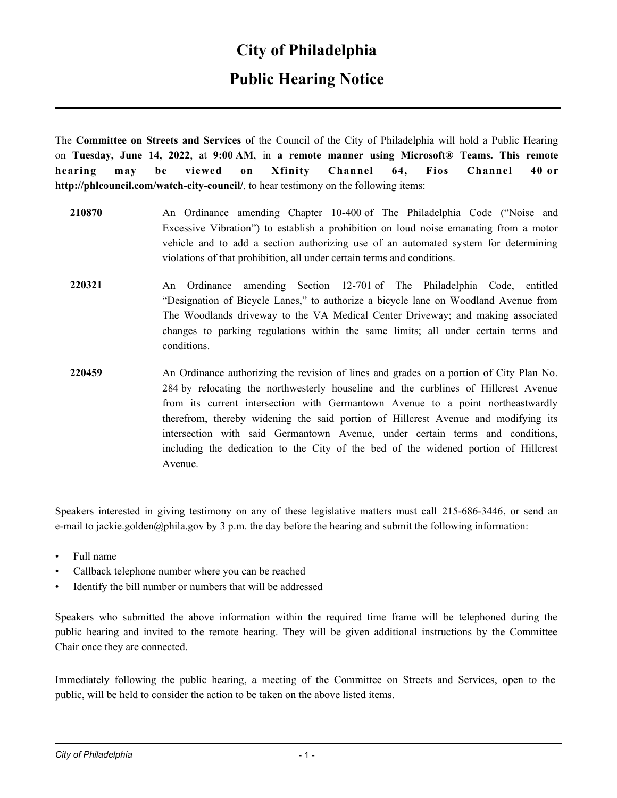#### **City of Philadelphia**

### **Public Hearing Notice**

The **Committee on Streets and Services** of the Council of the City of Philadelphia will hold a Public Hearing on **Tuesday, June 14, 2022**, at **9:00 AM**, in **a remote manner using Microsoft® Teams. This remote hearing may be viewed on Xfinity Channel 64, Fios Channel 40 or http://phlcouncil.com/watch-city-council/**, to hear testimony on the following items:

- **210870** An Ordinance amending Chapter 10-400 of The Philadelphia Code ("Noise and Excessive Vibration") to establish a prohibition on loud noise emanating from a motor vehicle and to add a section authorizing use of an automated system for determining violations of that prohibition, all under certain terms and conditions.
- **220321** An Ordinance amending Section 12-701 of The Philadelphia Code, entitled "Designation of Bicycle Lanes," to authorize a bicycle lane on Woodland Avenue from The Woodlands driveway to the VA Medical Center Driveway; and making associated changes to parking regulations within the same limits; all under certain terms and conditions.
- **220459** An Ordinance authorizing the revision of lines and grades on a portion of City Plan No. 284 by relocating the northwesterly houseline and the curblines of Hillcrest Avenue from its current intersection with Germantown Avenue to a point northeastwardly therefrom, thereby widening the said portion of Hillcrest Avenue and modifying its intersection with said Germantown Avenue, under certain terms and conditions, including the dedication to the City of the bed of the widened portion of Hillcrest Avenue.

Speakers interested in giving testimony on any of these legislative matters must call 215-686-3446, or send an e-mail to jackie.golden@phila.gov by 3 p.m. the day before the hearing and submit the following information:

- Full name
- Callback telephone number where you can be reached
- Identify the bill number or numbers that will be addressed

Speakers who submitted the above information within the required time frame will be telephoned during the public hearing and invited to the remote hearing. They will be given additional instructions by the Committee Chair once they are connected.

Immediately following the public hearing, a meeting of the Committee on Streets and Services, open to the public, will be held to consider the action to be taken on the above listed items.